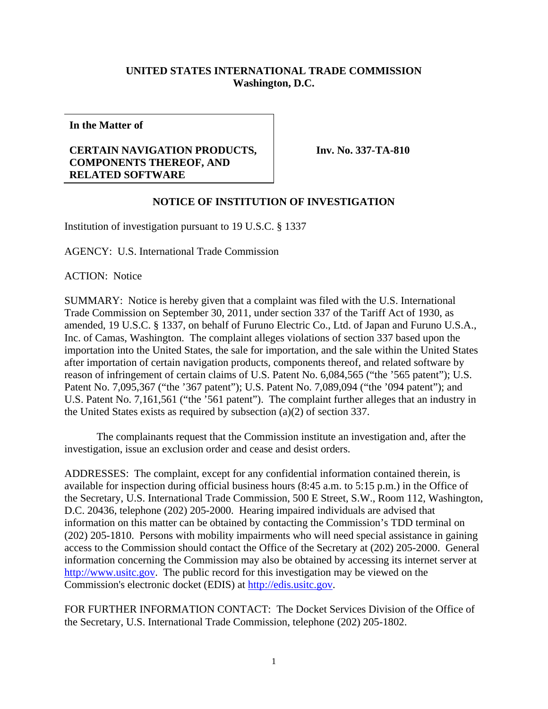## **UNITED STATES INTERNATIONAL TRADE COMMISSION Washington, D.C.**

**In the Matter of** 

## **CERTAIN NAVIGATION PRODUCTS, COMPONENTS THEREOF, AND RELATED SOFTWARE**

**Inv. No. 337-TA-810**

## **NOTICE OF INSTITUTION OF INVESTIGATION**

Institution of investigation pursuant to 19 U.S.C. § 1337

AGENCY: U.S. International Trade Commission

ACTION: Notice

SUMMARY: Notice is hereby given that a complaint was filed with the U.S. International Trade Commission on September 30, 2011, under section 337 of the Tariff Act of 1930, as amended, 19 U.S.C. § 1337, on behalf of Furuno Electric Co., Ltd. of Japan and Furuno U.S.A., Inc. of Camas, Washington. The complaint alleges violations of section 337 based upon the importation into the United States, the sale for importation, and the sale within the United States after importation of certain navigation products, components thereof, and related software by reason of infringement of certain claims of U.S. Patent No. 6,084,565 ("the '565 patent"); U.S. Patent No. 7,095,367 ("the '367 patent"); U.S. Patent No. 7,089,094 ("the '094 patent"); and U.S. Patent No. 7,161,561 ("the '561 patent"). The complaint further alleges that an industry in the United States exists as required by subsection (a)(2) of section 337.

 The complainants request that the Commission institute an investigation and, after the investigation, issue an exclusion order and cease and desist orders.

ADDRESSES: The complaint, except for any confidential information contained therein, is available for inspection during official business hours (8:45 a.m. to 5:15 p.m.) in the Office of the Secretary, U.S. International Trade Commission, 500 E Street, S.W., Room 112, Washington, D.C. 20436, telephone (202) 205-2000. Hearing impaired individuals are advised that information on this matter can be obtained by contacting the Commission's TDD terminal on (202) 205-1810. Persons with mobility impairments who will need special assistance in gaining access to the Commission should contact the Office of the Secretary at (202) 205-2000. General information concerning the Commission may also be obtained by accessing its internet server at http://www.usitc.gov. The public record for this investigation may be viewed on the Commission's electronic docket (EDIS) at http://edis.usitc.gov.

FOR FURTHER INFORMATION CONTACT: The Docket Services Division of the Office of the Secretary, U.S. International Trade Commission, telephone (202) 205-1802.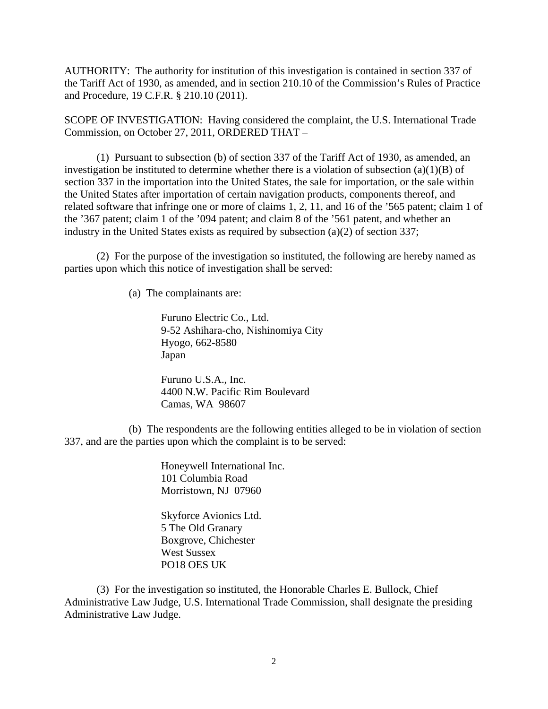AUTHORITY: The authority for institution of this investigation is contained in section 337 of the Tariff Act of 1930, as amended, and in section 210.10 of the Commission's Rules of Practice and Procedure, 19 C.F.R. § 210.10 (2011).

SCOPE OF INVESTIGATION: Having considered the complaint, the U.S. International Trade Commission, on October 27, 2011, ORDERED THAT –

 (1) Pursuant to subsection (b) of section 337 of the Tariff Act of 1930, as amended, an investigation be instituted to determine whether there is a violation of subsection  $(a)(1)(B)$  of section 337 in the importation into the United States, the sale for importation, or the sale within the United States after importation of certain navigation products, components thereof, and related software that infringe one or more of claims 1, 2, 11, and 16 of the '565 patent; claim 1 of the '367 patent; claim 1 of the '094 patent; and claim 8 of the '561 patent, and whether an industry in the United States exists as required by subsection (a)(2) of section 337;

 (2) For the purpose of the investigation so instituted, the following are hereby named as parties upon which this notice of investigation shall be served:

(a) The complainants are:

 Furuno Electric Co., Ltd. 9-52 Ashihara-cho, Nishinomiya City Hyogo, 662-8580 Japan

 Furuno U.S.A., Inc. 4400 N.W. Pacific Rim Boulevard Camas, WA 98607

 (b) The respondents are the following entities alleged to be in violation of section 337, and are the parties upon which the complaint is to be served:

> Honeywell International Inc. 101 Columbia Road Morristown, NJ 07960

 Skyforce Avionics Ltd. 5 The Old Granary Boxgrove, Chichester West Sussex PO18 OES UK

 (3) For the investigation so instituted, the Honorable Charles E. Bullock, Chief Administrative Law Judge, U.S. International Trade Commission, shall designate the presiding Administrative Law Judge.